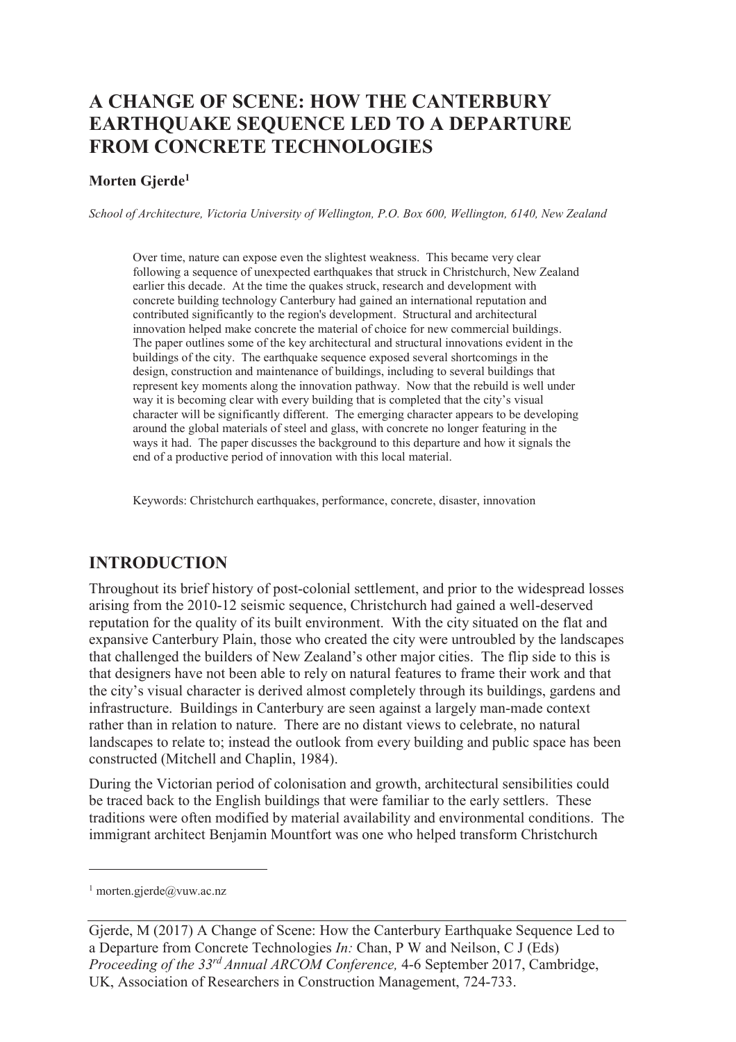# **A CHANGE OF SCENE: HOW THE CANTERBURY EARTHQUAKE SEQUENCE LED TO A DEPARTURE FROM CONCRETE TECHNOLOGIES**

#### **Morten Gjerde<sup>1</sup>**

*School of Architecture, Victoria University of Wellington, P.O. Box 600, Wellington, 6140, New Zealand* 

Over time, nature can expose even the slightest weakness. This became very clear following a sequence of unexpected earthquakes that struck in Christchurch, New Zealand earlier this decade. At the time the quakes struck, research and development with concrete building technology Canterbury had gained an international reputation and contributed significantly to the region's development. Structural and architectural innovation helped make concrete the material of choice for new commercial buildings. The paper outlines some of the key architectural and structural innovations evident in the buildings of the city. The earthquake sequence exposed several shortcomings in the design, construction and maintenance of buildings, including to several buildings that represent key moments along the innovation pathway. Now that the rebuild is well under way it is becoming clear with every building that is completed that the city's visual character will be significantly different. The emerging character appears to be developing around the global materials of steel and glass, with concrete no longer featuring in the ways it had. The paper discusses the background to this departure and how it signals the end of a productive period of innovation with this local material.

Keywords: Christchurch earthquakes, performance, concrete, disaster, innovation

#### **INTRODUCTION**

Throughout its brief history of post-colonial settlement, and prior to the widespread losses arising from the 2010-12 seismic sequence, Christchurch had gained a well-deserved reputation for the quality of its built environment. With the city situated on the flat and expansive Canterbury Plain, those who created the city were untroubled by the landscapes that challenged the builders of New Zealand's other major cities. The flip side to this is that designers have not been able to rely on natural features to frame their work and that the city's visual character is derived almost completely through its buildings, gardens and infrastructure. Buildings in Canterbury are seen against a largely man-made context rather than in relation to nature. There are no distant views to celebrate, no natural landscapes to relate to; instead the outlook from every building and public space has been constructed (Mitchell and Chaplin, 1984).

During the Victorian period of colonisation and growth, architectural sensibilities could be traced back to the English buildings that were familiar to the early settlers. These traditions were often modified by material availability and environmental conditions. The immigrant architect Benjamin Mountfort was one who helped transform Christchurch

-

<sup>1</sup> morten.gjerde@vuw.ac.nz

Gjerde, M (2017) A Change of Scene: How the Canterbury Earthquake Sequence Led to a Departure from Concrete Technologies *In:* Chan, P W and Neilson, C J (Eds) *Proceeding of the 33rd Annual ARCOM Conference,* 4-6 September 2017, Cambridge, UK, Association of Researchers in Construction Management, 724-733.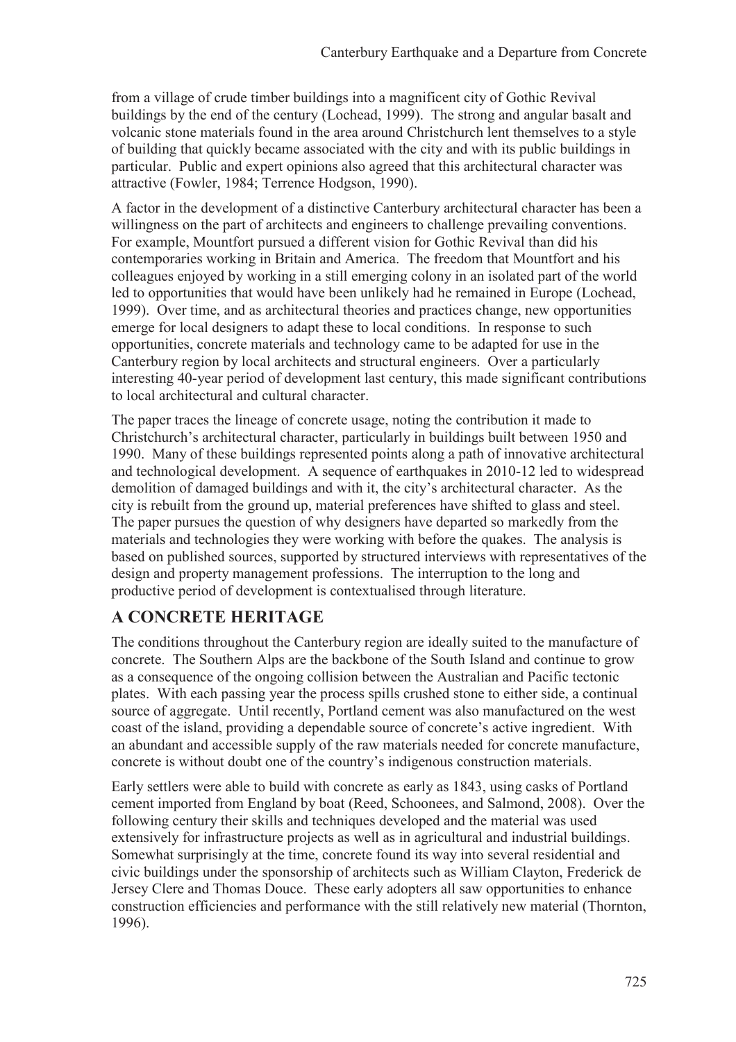from a village of crude timber buildings into a magnificent city of Gothic Revival buildings by the end of the century (Lochead, 1999). The strong and angular basalt and volcanic stone materials found in the area around Christchurch lent themselves to a style of building that quickly became associated with the city and with its public buildings in particular. Public and expert opinions also agreed that this architectural character was attractive (Fowler, 1984; Terrence Hodgson, 1990).

A factor in the development of a distinctive Canterbury architectural character has been a willingness on the part of architects and engineers to challenge prevailing conventions. For example, Mountfort pursued a different vision for Gothic Revival than did his contemporaries working in Britain and America. The freedom that Mountfort and his colleagues enjoyed by working in a still emerging colony in an isolated part of the world led to opportunities that would have been unlikely had he remained in Europe (Lochead, 1999). Over time, and as architectural theories and practices change, new opportunities emerge for local designers to adapt these to local conditions. In response to such opportunities, concrete materials and technology came to be adapted for use in the Canterbury region by local architects and structural engineers. Over a particularly interesting 40-year period of development last century, this made significant contributions to local architectural and cultural character.

The paper traces the lineage of concrete usage, noting the contribution it made to Christchurch's architectural character, particularly in buildings built between 1950 and 1990. Many of these buildings represented points along a path of innovative architectural and technological development. A sequence of earthquakes in 2010-12 led to widespread demolition of damaged buildings and with it, the city's architectural character. As the city is rebuilt from the ground up, material preferences have shifted to glass and steel. The paper pursues the question of why designers have departed so markedly from the materials and technologies they were working with before the quakes. The analysis is based on published sources, supported by structured interviews with representatives of the design and property management professions. The interruption to the long and productive period of development is contextualised through literature.

### **A CONCRETE HERITAGE**

The conditions throughout the Canterbury region are ideally suited to the manufacture of concrete. The Southern Alps are the backbone of the South Island and continue to grow as a consequence of the ongoing collision between the Australian and Pacific tectonic plates. With each passing year the process spills crushed stone to either side, a continual source of aggregate. Until recently, Portland cement was also manufactured on the west coast of the island, providing a dependable source of concrete's active ingredient. With an abundant and accessible supply of the raw materials needed for concrete manufacture, concrete is without doubt one of the country's indigenous construction materials.

Early settlers were able to build with concrete as early as 1843, using casks of Portland cement imported from England by boat (Reed, Schoonees, and Salmond, 2008). Over the following century their skills and techniques developed and the material was used extensively for infrastructure projects as well as in agricultural and industrial buildings. Somewhat surprisingly at the time, concrete found its way into several residential and civic buildings under the sponsorship of architects such as William Clayton, Frederick de Jersey Clere and Thomas Douce. These early adopters all saw opportunities to enhance construction efficiencies and performance with the still relatively new material (Thornton, 1996).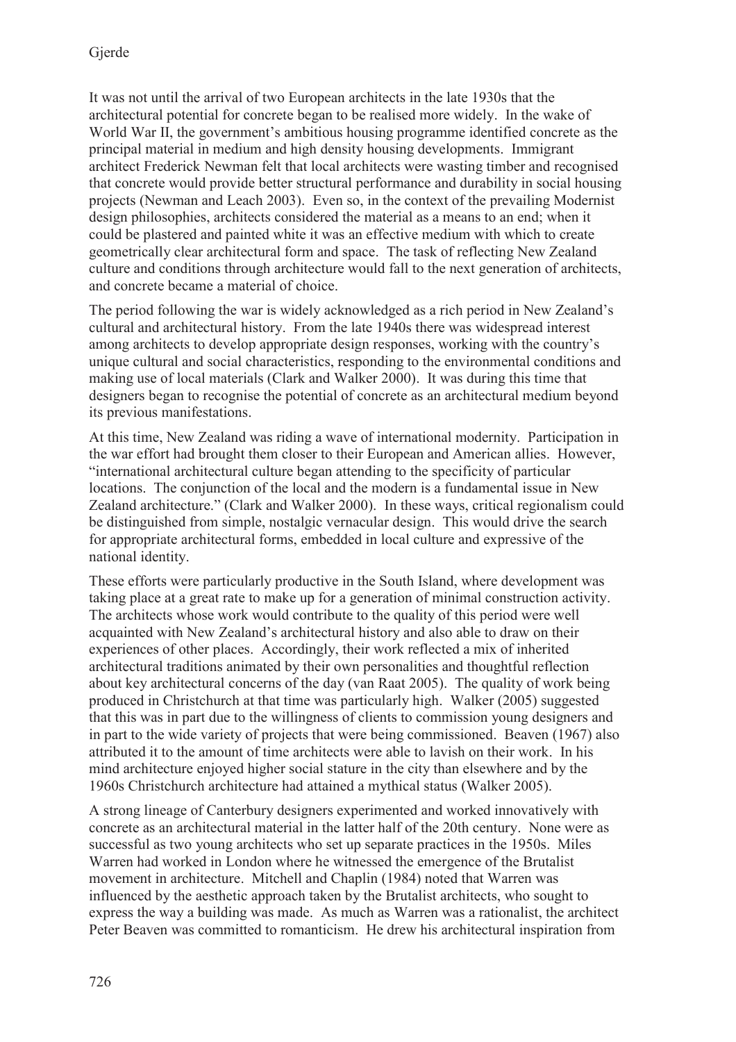It was not until the arrival of two European architects in the late 1930s that the architectural potential for concrete began to be realised more widely. In the wake of World War II, the government's ambitious housing programme identified concrete as the principal material in medium and high density housing developments. Immigrant architect Frederick Newman felt that local architects were wasting timber and recognised that concrete would provide better structural performance and durability in social housing projects (Newman and Leach 2003). Even so, in the context of the prevailing Modernist design philosophies, architects considered the material as a means to an end; when it could be plastered and painted white it was an effective medium with which to create geometrically clear architectural form and space. The task of reflecting New Zealand culture and conditions through architecture would fall to the next generation of architects, and concrete became a material of choice.

The period following the war is widely acknowledged as a rich period in New Zealand's cultural and architectural history. From the late 1940s there was widespread interest among architects to develop appropriate design responses, working with the country's unique cultural and social characteristics, responding to the environmental conditions and making use of local materials (Clark and Walker 2000). It was during this time that designers began to recognise the potential of concrete as an architectural medium beyond its previous manifestations.

At this time, New Zealand was riding a wave of international modernity. Participation in the war effort had brought them closer to their European and American allies. However, "international architectural culture began attending to the specificity of particular locations. The conjunction of the local and the modern is a fundamental issue in New Zealand architecture." (Clark and Walker 2000). In these ways, critical regionalism could be distinguished from simple, nostalgic vernacular design. This would drive the search for appropriate architectural forms, embedded in local culture and expressive of the national identity.

These efforts were particularly productive in the South Island, where development was taking place at a great rate to make up for a generation of minimal construction activity. The architects whose work would contribute to the quality of this period were well acquainted with New Zealand's architectural history and also able to draw on their experiences of other places. Accordingly, their work reflected a mix of inherited architectural traditions animated by their own personalities and thoughtful reflection about key architectural concerns of the day (van Raat 2005). The quality of work being produced in Christchurch at that time was particularly high. Walker (2005) suggested that this was in part due to the willingness of clients to commission young designers and in part to the wide variety of projects that were being commissioned. Beaven (1967) also attributed it to the amount of time architects were able to lavish on their work. In his mind architecture enjoyed higher social stature in the city than elsewhere and by the 1960s Christchurch architecture had attained a mythical status (Walker 2005).

A strong lineage of Canterbury designers experimented and worked innovatively with concrete as an architectural material in the latter half of the 20th century. None were as successful as two young architects who set up separate practices in the 1950s. Miles Warren had worked in London where he witnessed the emergence of the Brutalist movement in architecture. Mitchell and Chaplin (1984) noted that Warren was influenced by the aesthetic approach taken by the Brutalist architects, who sought to express the way a building was made. As much as Warren was a rationalist, the architect Peter Beaven was committed to romanticism. He drew his architectural inspiration from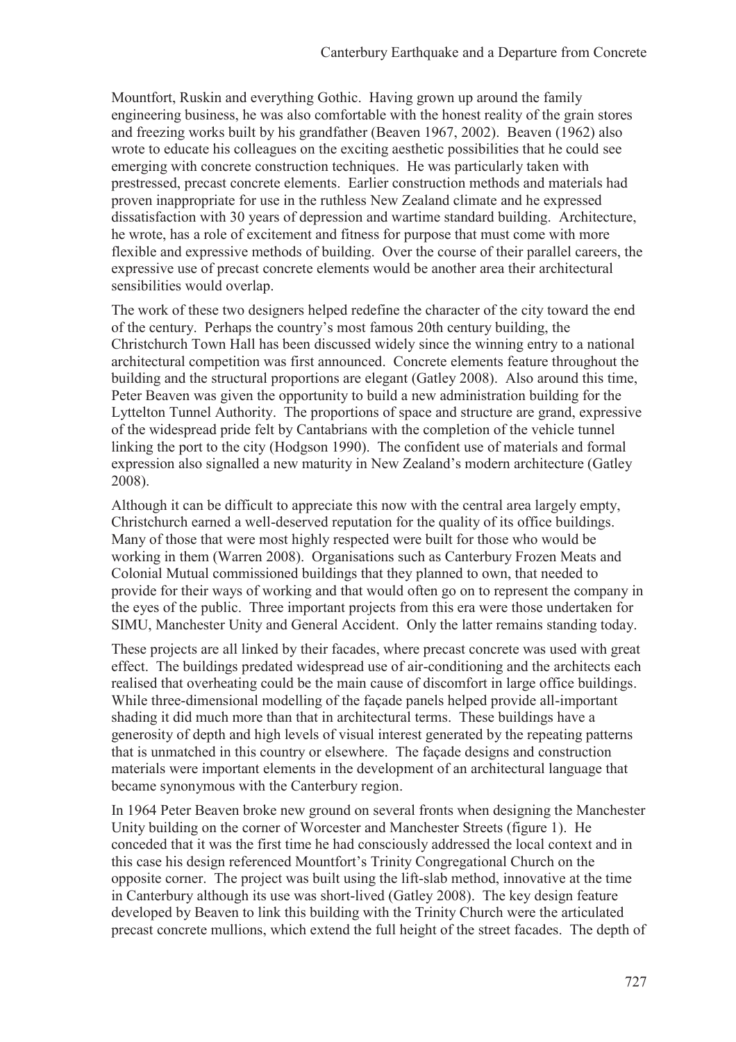Mountfort, Ruskin and everything Gothic. Having grown up around the family engineering business, he was also comfortable with the honest reality of the grain stores and freezing works built by his grandfather (Beaven 1967, 2002). Beaven (1962) also wrote to educate his colleagues on the exciting aesthetic possibilities that he could see emerging with concrete construction techniques. He was particularly taken with prestressed, precast concrete elements. Earlier construction methods and materials had proven inappropriate for use in the ruthless New Zealand climate and he expressed dissatisfaction with 30 years of depression and wartime standard building. Architecture, he wrote, has a role of excitement and fitness for purpose that must come with more flexible and expressive methods of building. Over the course of their parallel careers, the expressive use of precast concrete elements would be another area their architectural sensibilities would overlap.

The work of these two designers helped redefine the character of the city toward the end of the century. Perhaps the country's most famous 20th century building, the Christchurch Town Hall has been discussed widely since the winning entry to a national architectural competition was first announced. Concrete elements feature throughout the building and the structural proportions are elegant (Gatley 2008). Also around this time, Peter Beaven was given the opportunity to build a new administration building for the Lyttelton Tunnel Authority. The proportions of space and structure are grand, expressive of the widespread pride felt by Cantabrians with the completion of the vehicle tunnel linking the port to the city (Hodgson 1990). The confident use of materials and formal expression also signalled a new maturity in New Zealand's modern architecture (Gatley 2008).

Although it can be difficult to appreciate this now with the central area largely empty, Christchurch earned a well-deserved reputation for the quality of its office buildings. Many of those that were most highly respected were built for those who would be working in them (Warren 2008). Organisations such as Canterbury Frozen Meats and Colonial Mutual commissioned buildings that they planned to own, that needed to provide for their ways of working and that would often go on to represent the company in the eyes of the public. Three important projects from this era were those undertaken for SIMU, Manchester Unity and General Accident. Only the latter remains standing today.

These projects are all linked by their facades, where precast concrete was used with great effect. The buildings predated widespread use of air-conditioning and the architects each realised that overheating could be the main cause of discomfort in large office buildings. While three-dimensional modelling of the façade panels helped provide all-important shading it did much more than that in architectural terms. These buildings have a generosity of depth and high levels of visual interest generated by the repeating patterns that is unmatched in this country or elsewhere. The façade designs and construction materials were important elements in the development of an architectural language that became synonymous with the Canterbury region.

In 1964 Peter Beaven broke new ground on several fronts when designing the Manchester Unity building on the corner of Worcester and Manchester Streets (figure 1). He conceded that it was the first time he had consciously addressed the local context and in this case his design referenced Mountfort's Trinity Congregational Church on the opposite corner. The project was built using the lift-slab method, innovative at the time in Canterbury although its use was short-lived (Gatley 2008). The key design feature developed by Beaven to link this building with the Trinity Church were the articulated precast concrete mullions, which extend the full height of the street facades. The depth of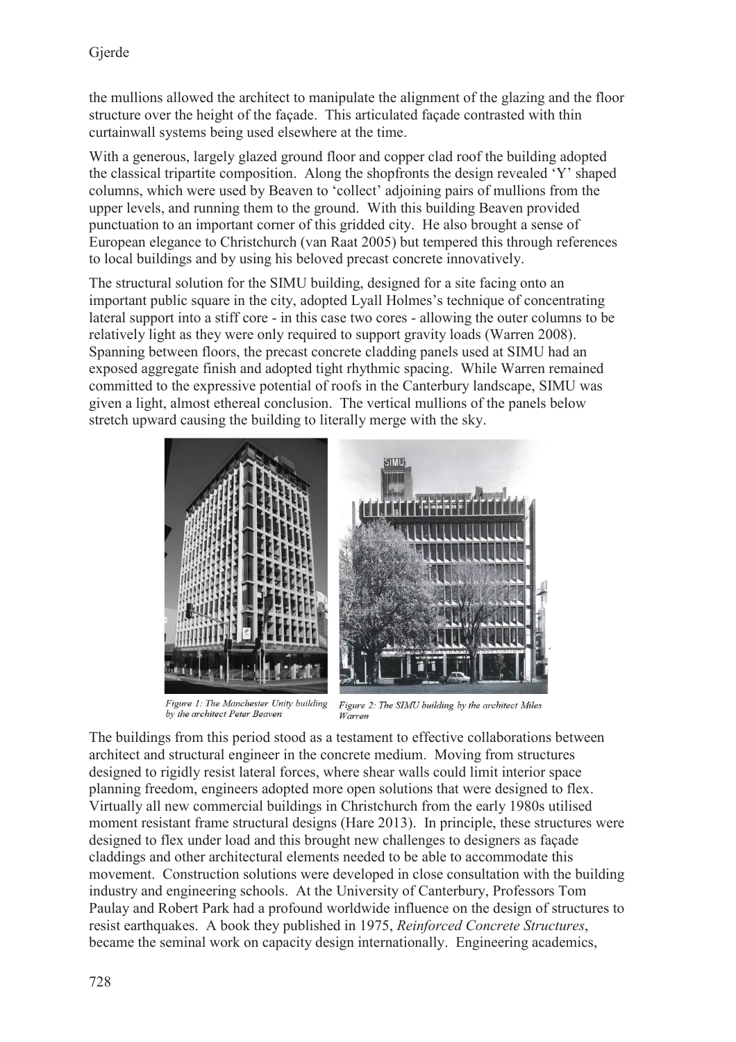the mullions allowed the architect to manipulate the alignment of the glazing and the floor structure over the height of the façade. This articulated façade contrasted with thin curtainwall systems being used elsewhere at the time.

With a generous, largely glazed ground floor and copper clad roof the building adopted the classical tripartite composition. Along the shopfronts the design revealed 'Y' shaped columns, which were used by Beaven to 'collect' adjoining pairs of mullions from the upper levels, and running them to the ground. With this building Beaven provided punctuation to an important corner of this gridded city. He also brought a sense of European elegance to Christchurch (van Raat 2005) but tempered this through references to local buildings and by using his beloved precast concrete innovatively.

The structural solution for the SIMU building, designed for a site facing onto an important public square in the city, adopted Lyall Holmes's technique of concentrating lateral support into a stiff core - in this case two cores - allowing the outer columns to be relatively light as they were only required to support gravity loads (Warren 2008). Spanning between floors, the precast concrete cladding panels used at SIMU had an exposed aggregate finish and adopted tight rhythmic spacing. While Warren remained committed to the expressive potential of roofs in the Canterbury landscape, SIMU was given a light, almost ethereal conclusion. The vertical mullions of the panels below stretch upward causing the building to literally merge with the sky.



Figure 1: The Manchester Unity building by the architect Peter Beaven

Figure 2: The SIMU building by the architect Miles Warren

The buildings from this period stood as a testament to effective collaborations between architect and structural engineer in the concrete medium. Moving from structures designed to rigidly resist lateral forces, where shear walls could limit interior space planning freedom, engineers adopted more open solutions that were designed to flex. Virtually all new commercial buildings in Christchurch from the early 1980s utilised moment resistant frame structural designs (Hare 2013). In principle, these structures were designed to flex under load and this brought new challenges to designers as façade claddings and other architectural elements needed to be able to accommodate this movement. Construction solutions were developed in close consultation with the building industry and engineering schools. At the University of Canterbury, Professors Tom Paulay and Robert Park had a profound worldwide influence on the design of structures to resist earthquakes. A book they published in 1975, *Reinforced Concrete Structures*, became the seminal work on capacity design internationally. Engineering academics,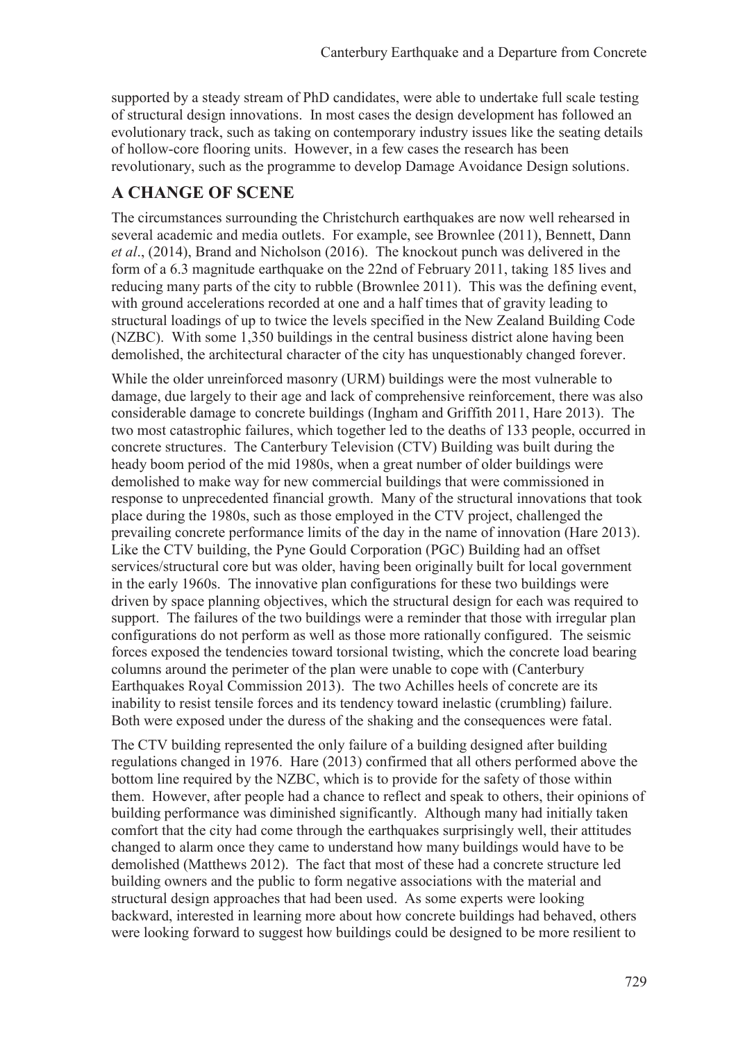supported by a steady stream of PhD candidates, were able to undertake full scale testing of structural design innovations. In most cases the design development has followed an evolutionary track, such as taking on contemporary industry issues like the seating details of hollow-core flooring units. However, in a few cases the research has been revolutionary, such as the programme to develop Damage Avoidance Design solutions.

### **A CHANGE OF SCENE**

The circumstances surrounding the Christchurch earthquakes are now well rehearsed in several academic and media outlets. For example, see Brownlee (2011), Bennett, Dann *et al*., (2014), Brand and Nicholson (2016). The knockout punch was delivered in the form of a 6.3 magnitude earthquake on the 22nd of February 2011, taking 185 lives and reducing many parts of the city to rubble (Brownlee 2011). This was the defining event, with ground accelerations recorded at one and a half times that of gravity leading to structural loadings of up to twice the levels specified in the New Zealand Building Code (NZBC). With some 1,350 buildings in the central business district alone having been demolished, the architectural character of the city has unquestionably changed forever.

While the older unreinforced masonry (URM) buildings were the most vulnerable to damage, due largely to their age and lack of comprehensive reinforcement, there was also considerable damage to concrete buildings (Ingham and Griffith 2011, Hare 2013). The two most catastrophic failures, which together led to the deaths of 133 people, occurred in concrete structures. The Canterbury Television (CTV) Building was built during the heady boom period of the mid 1980s, when a great number of older buildings were demolished to make way for new commercial buildings that were commissioned in response to unprecedented financial growth. Many of the structural innovations that took place during the 1980s, such as those employed in the CTV project, challenged the prevailing concrete performance limits of the day in the name of innovation (Hare 2013). Like the CTV building, the Pyne Gould Corporation (PGC) Building had an offset services/structural core but was older, having been originally built for local government in the early 1960s. The innovative plan configurations for these two buildings were driven by space planning objectives, which the structural design for each was required to support. The failures of the two buildings were a reminder that those with irregular plan configurations do not perform as well as those more rationally configured. The seismic forces exposed the tendencies toward torsional twisting, which the concrete load bearing columns around the perimeter of the plan were unable to cope with (Canterbury Earthquakes Royal Commission 2013). The two Achilles heels of concrete are its inability to resist tensile forces and its tendency toward inelastic (crumbling) failure. Both were exposed under the duress of the shaking and the consequences were fatal.

The CTV building represented the only failure of a building designed after building regulations changed in 1976. Hare (2013) confirmed that all others performed above the bottom line required by the NZBC, which is to provide for the safety of those within them. However, after people had a chance to reflect and speak to others, their opinions of building performance was diminished significantly. Although many had initially taken comfort that the city had come through the earthquakes surprisingly well, their attitudes changed to alarm once they came to understand how many buildings would have to be demolished (Matthews 2012). The fact that most of these had a concrete structure led building owners and the public to form negative associations with the material and structural design approaches that had been used. As some experts were looking backward, interested in learning more about how concrete buildings had behaved, others were looking forward to suggest how buildings could be designed to be more resilient to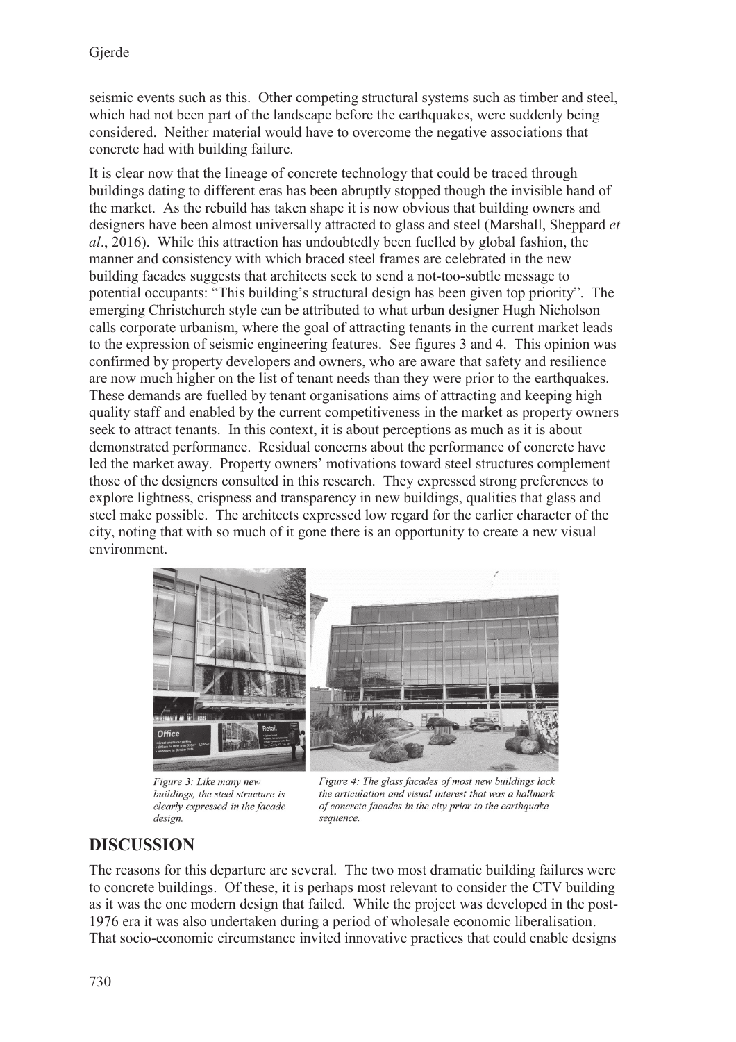seismic events such as this. Other competing structural systems such as timber and steel, which had not been part of the landscape before the earthquakes, were suddenly being considered. Neither material would have to overcome the negative associations that concrete had with building failure.

It is clear now that the lineage of concrete technology that could be traced through buildings dating to different eras has been abruptly stopped though the invisible hand of the market. As the rebuild has taken shape it is now obvious that building owners and designers have been almost universally attracted to glass and steel (Marshall, Sheppard *et al*., 2016). While this attraction has undoubtedly been fuelled by global fashion, the manner and consistency with which braced steel frames are celebrated in the new building facades suggests that architects seek to send a not-too-subtle message to potential occupants: "This building's structural design has been given top priority". The emerging Christchurch style can be attributed to what urban designer Hugh Nicholson calls corporate urbanism, where the goal of attracting tenants in the current market leads to the expression of seismic engineering features. See figures 3 and 4. This opinion was confirmed by property developers and owners, who are aware that safety and resilience are now much higher on the list of tenant needs than they were prior to the earthquakes. These demands are fuelled by tenant organisations aims of attracting and keeping high quality staff and enabled by the current competitiveness in the market as property owners seek to attract tenants. In this context, it is about perceptions as much as it is about demonstrated performance. Residual concerns about the performance of concrete have led the market away. Property owners' motivations toward steel structures complement those of the designers consulted in this research. They expressed strong preferences to explore lightness, crispness and transparency in new buildings, qualities that glass and steel make possible. The architects expressed low regard for the earlier character of the city, noting that with so much of it gone there is an opportunity to create a new visual environment.



Figure 3: Like many new buildings, the steel structure is clearly expressed in the facade design.

Figure 4: The glass facades of most new buildings lack the articulation and visual interest that was a hallmark of concrete facades in the city prior to the earthquake sequence.

### **DISCUSSION**

The reasons for this departure are several. The two most dramatic building failures were to concrete buildings. Of these, it is perhaps most relevant to consider the CTV building as it was the one modern design that failed. While the project was developed in the post-1976 era it was also undertaken during a period of wholesale economic liberalisation. That socio-economic circumstance invited innovative practices that could enable designs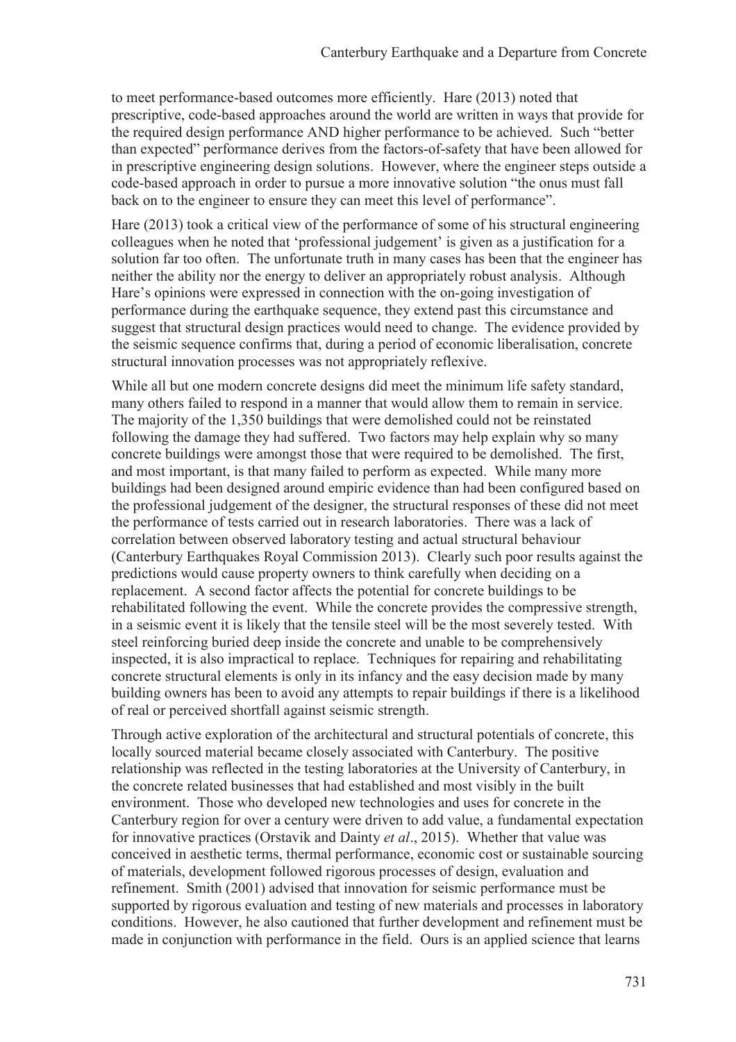to meet performance-based outcomes more efficiently. Hare (2013) noted that prescriptive, code-based approaches around the world are written in ways that provide for the required design performance AND higher performance to be achieved. Such "better than expected" performance derives from the factors-of-safety that have been allowed for in prescriptive engineering design solutions. However, where the engineer steps outside a code-based approach in order to pursue a more innovative solution "the onus must fall back on to the engineer to ensure they can meet this level of performance".

Hare (2013) took a critical view of the performance of some of his structural engineering colleagues when he noted that 'professional judgement' is given as a justification for a solution far too often. The unfortunate truth in many cases has been that the engineer has neither the ability nor the energy to deliver an appropriately robust analysis. Although Hare's opinions were expressed in connection with the on-going investigation of performance during the earthquake sequence, they extend past this circumstance and suggest that structural design practices would need to change. The evidence provided by the seismic sequence confirms that, during a period of economic liberalisation, concrete structural innovation processes was not appropriately reflexive.

While all but one modern concrete designs did meet the minimum life safety standard, many others failed to respond in a manner that would allow them to remain in service. The majority of the 1,350 buildings that were demolished could not be reinstated following the damage they had suffered. Two factors may help explain why so many concrete buildings were amongst those that were required to be demolished. The first, and most important, is that many failed to perform as expected. While many more buildings had been designed around empiric evidence than had been configured based on the professional judgement of the designer, the structural responses of these did not meet the performance of tests carried out in research laboratories. There was a lack of correlation between observed laboratory testing and actual structural behaviour (Canterbury Earthquakes Royal Commission 2013). Clearly such poor results against the predictions would cause property owners to think carefully when deciding on a replacement. A second factor affects the potential for concrete buildings to be rehabilitated following the event. While the concrete provides the compressive strength, in a seismic event it is likely that the tensile steel will be the most severely tested. With steel reinforcing buried deep inside the concrete and unable to be comprehensively inspected, it is also impractical to replace. Techniques for repairing and rehabilitating concrete structural elements is only in its infancy and the easy decision made by many building owners has been to avoid any attempts to repair buildings if there is a likelihood of real or perceived shortfall against seismic strength.

Through active exploration of the architectural and structural potentials of concrete, this locally sourced material became closely associated with Canterbury. The positive relationship was reflected in the testing laboratories at the University of Canterbury, in the concrete related businesses that had established and most visibly in the built environment. Those who developed new technologies and uses for concrete in the Canterbury region for over a century were driven to add value, a fundamental expectation for innovative practices (Orstavik and Dainty *et al*., 2015). Whether that value was conceived in aesthetic terms, thermal performance, economic cost or sustainable sourcing of materials, development followed rigorous processes of design, evaluation and refinement. Smith (2001) advised that innovation for seismic performance must be supported by rigorous evaluation and testing of new materials and processes in laboratory conditions. However, he also cautioned that further development and refinement must be made in conjunction with performance in the field. Ours is an applied science that learns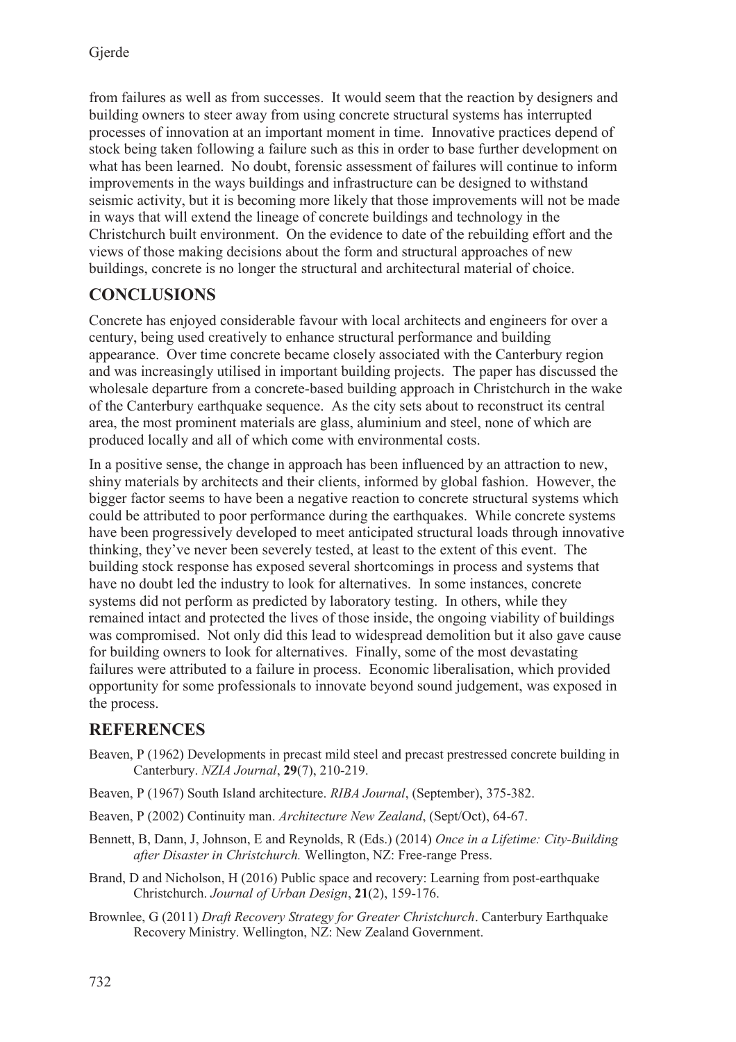from failures as well as from successes. It would seem that the reaction by designers and building owners to steer away from using concrete structural systems has interrupted processes of innovation at an important moment in time. Innovative practices depend of stock being taken following a failure such as this in order to base further development on what has been learned. No doubt, forensic assessment of failures will continue to inform improvements in the ways buildings and infrastructure can be designed to withstand seismic activity, but it is becoming more likely that those improvements will not be made in ways that will extend the lineage of concrete buildings and technology in the Christchurch built environment. On the evidence to date of the rebuilding effort and the views of those making decisions about the form and structural approaches of new buildings, concrete is no longer the structural and architectural material of choice.

## **CONCLUSIONS**

Concrete has enjoyed considerable favour with local architects and engineers for over a century, being used creatively to enhance structural performance and building appearance. Over time concrete became closely associated with the Canterbury region and was increasingly utilised in important building projects. The paper has discussed the wholesale departure from a concrete-based building approach in Christchurch in the wake of the Canterbury earthquake sequence. As the city sets about to reconstruct its central area, the most prominent materials are glass, aluminium and steel, none of which are produced locally and all of which come with environmental costs.

In a positive sense, the change in approach has been influenced by an attraction to new, shiny materials by architects and their clients, informed by global fashion. However, the bigger factor seems to have been a negative reaction to concrete structural systems which could be attributed to poor performance during the earthquakes. While concrete systems have been progressively developed to meet anticipated structural loads through innovative thinking, they've never been severely tested, at least to the extent of this event. The building stock response has exposed several shortcomings in process and systems that have no doubt led the industry to look for alternatives. In some instances, concrete systems did not perform as predicted by laboratory testing. In others, while they remained intact and protected the lives of those inside, the ongoing viability of buildings was compromised. Not only did this lead to widespread demolition but it also gave cause for building owners to look for alternatives. Finally, some of the most devastating failures were attributed to a failure in process. Economic liberalisation, which provided opportunity for some professionals to innovate beyond sound judgement, was exposed in the process.

#### **REFERENCES**

- Beaven, P (1962) Developments in precast mild steel and precast prestressed concrete building in Canterbury. *NZIA Journal*, **29**(7), 210-219.
- Beaven, P (1967) South Island architecture. *RIBA Journal*, (September), 375-382.
- Beaven, P (2002) Continuity man. *Architecture New Zealand*, (Sept/Oct), 64-67.
- Bennett, B, Dann, J, Johnson, E and Reynolds, R (Eds.) (2014) *Once in a Lifetime: City-Building after Disaster in Christchurch.* Wellington, NZ: Free-range Press.
- Brand, D and Nicholson, H (2016) Public space and recovery: Learning from post-earthquake Christchurch. *Journal of Urban Design*, **21**(2), 159-176.
- Brownlee, G (2011) *Draft Recovery Strategy for Greater Christchurch*. Canterbury Earthquake Recovery Ministry. Wellington, NZ: New Zealand Government.